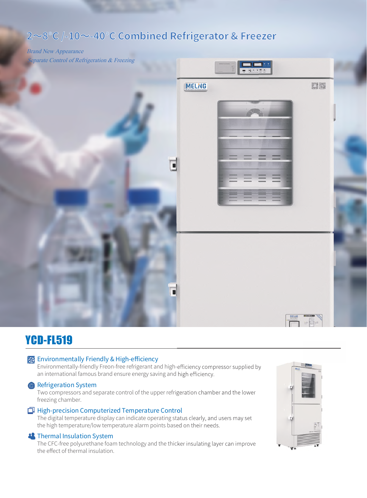# **2~8°C /-10~-40°C Combined Refrigerator & Freezer**

# Brand New Appearance Separate Control of Refrigeration & Freezing **MELNG** BIR MELNO<br>KR1980

# YCD-FL519

# **Environmentally Friendly & High-efficiency**

Environmentally-friendly Freon-free refrigerant and high-efficiency compressor supplied by an international famous brand ensure energy saving and high efficiency.

## **Refrigeration System**

Two compressors and separate control of the upper refrigeration chamber and the lower freezing chamber.

# High-precision Computerized Temperature Control

The digital temperature display can indicate operating status clearly, and users may set the high temperature/low temperature alarm points based on their needs.

### **S** Thermal Insulation System

The CFC-free polyurethane foam technology and the thicker insulating layer can improve the effect of thermal insulation.